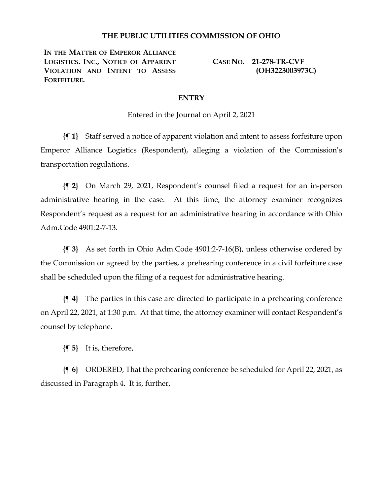## **THE PUBLIC UTILITIES COMMISSION OF OHIO**

**IN THE MATTER OF EMPEROR ALLIANCE LOGISTICS. INC., NOTICE OF APPARENT VIOLATION AND INTENT TO ASSESS FORFEITURE.**

**CASE NO. 21-278-TR-CVF (OH3223003973C)**

## **ENTRY**

Entered in the Journal on April 2, 2021

**{¶ 1}** Staff served a notice of apparent violation and intent to assess forfeiture upon Emperor Alliance Logistics (Respondent), alleging a violation of the Commission's transportation regulations.

**{¶ 2}** On March 29, 2021, Respondent's counsel filed a request for an in-person administrative hearing in the case. At this time, the attorney examiner recognizes Respondent's request as a request for an administrative hearing in accordance with Ohio Adm.Code 4901:2-7-13.

**{¶ 3}** As set forth in Ohio Adm.Code 4901:2-7-16(B), unless otherwise ordered by the Commission or agreed by the parties, a prehearing conference in a civil forfeiture case shall be scheduled upon the filing of a request for administrative hearing.

**{¶ 4}** The parties in this case are directed to participate in a prehearing conference on April 22, 2021, at 1:30 p.m. At that time, the attorney examiner will contact Respondent's counsel by telephone.

**{¶ 5}** It is, therefore,

**{¶ 6}** ORDERED, That the prehearing conference be scheduled for April 22, 2021, as discussed in Paragraph 4. It is, further,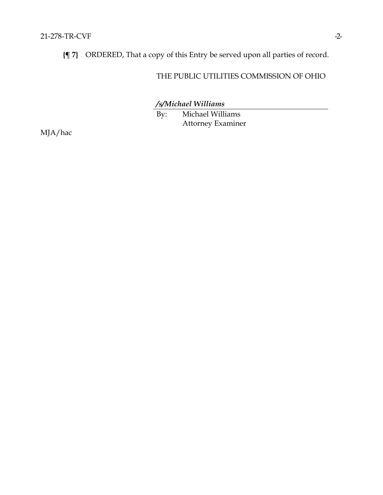**{¶ 7}** ORDERED, That a copy of this Entry be served upon all parties of record.

## THE PUBLIC UTILITIES COMMISSION OF OHIO

*/s/Michael Williams*

By: Michael Williams Attorney Examiner

MJA/hac